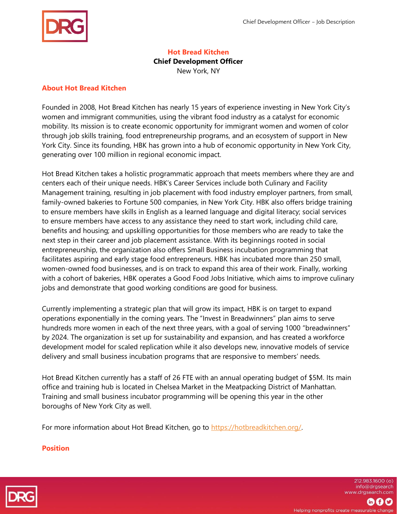

### **Hot Bread Kitchen**

**Chief Development Officer** 

New York, NY

### **About Hot Bread Kitchen**

Founded in 2008, Hot Bread Kitchen has nearly 15 years of experience investing in New York City's women and immigrant communities, using the vibrant food industry as a catalyst for economic mobility. Its mission is to create economic opportunity for immigrant women and women of color through job skills training, food entrepreneurship programs, and an ecosystem of support in New York City. Since its founding, HBK has grown into a hub of economic opportunity in New York City, generating over 100 million in regional economic impact.

Hot Bread Kitchen takes a holistic programmatic approach that meets members where they are and centers each of their unique needs. HBK's Career Services include both Culinary and Facility Management training, resulting in job placement with food industry employer partners, from small, family-owned bakeries to Fortune 500 companies, in New York City. HBK also offers bridge training to ensure members have skills in English as a learned language and digital literacy; social services to ensure members have access to any assistance they need to start work, including child care, benefits and housing; and upskilling opportunities for those members who are ready to take the next step in their career and job placement assistance. With its beginnings rooted in social entrepreneurship, the organization also offers Small Business incubation programming that facilitates aspiring and early stage food entrepreneurs. HBK has incubated more than 250 small, women-owned food businesses, and is on track to expand this area of their work. Finally, working with a cohort of bakeries, HBK operates a Good Food Jobs Initiative, which aims to improve culinary jobs and demonstrate that good working conditions are good for business.

Currently implementing a strategic plan that will grow its impact, HBK is on target to expand operations exponentially in the coming years. The "Invest in Breadwinners" plan aims to serve hundreds more women in each of the next three years, with a goal of serving 1000 "breadwinners" by 2024. The organization is set up for sustainability and expansion, and has created a workforce development model for scaled replication while it also develops new, innovative models of service delivery and small business incubation programs that are responsive to members' needs.

Hot Bread Kitchen currently has a staff of 26 FTE with an annual operating budget of \$5M. Its main office and training hub is located in Chelsea Market in the Meatpacking District of Manhattan. Training and small business incubator programming will be opening this year in the other boroughs of New York City as well.

For more information about Hot Bread Kitchen, go to [https://hotbreadkitchen.org/.](https://hotbreadkitchen.org/)

### **Position**



212.983.1600 (o) info@drgsearch www.drgsearch.com

⊕00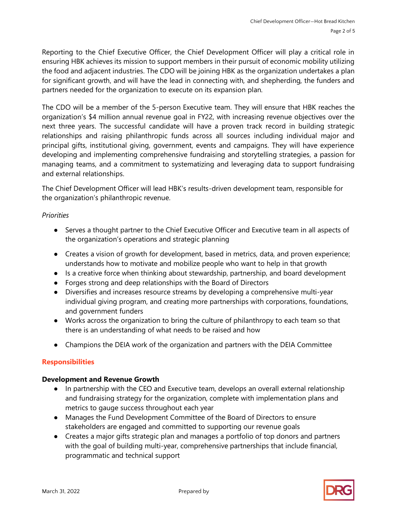Reporting to the Chief Executive Officer, the Chief Development Officer will play a critical role in ensuring HBK achieves its mission to support members in their pursuit of economic mobility utilizing the food and adjacent industries. The CDO will be joining HBK as the organization undertakes a plan for significant growth, and will have the lead in connecting with, and shepherding, the funders and partners needed for the organization to execute on its expansion plan.

The CDO will be a member of the 5-person Executive team. They will ensure that HBK reaches the organization's \$4 million annual revenue goal in FY22, with increasing revenue objectives over the next three years. The successful candidate will have a proven track record in building strategic relationships and raising philanthropic funds across all sources including individual major and principal gifts, institutional giving, government, events and campaigns. They will have experience developing and implementing comprehensive fundraising and storytelling strategies, a passion for managing teams, and a commitment to systematizing and leveraging data to support fundraising and external relationships.

The Chief Development Officer will lead HBK's results-driven development team, responsible for the organization's philanthropic revenue.

## *Priorities*

- Serves a thought partner to the Chief Executive Officer and Executive team in all aspects of the organization's operations and strategic planning
- Creates a vision of growth for development, based in metrics, data, and proven experience; understands how to motivate and mobilize people who want to help in that growth
- Is a creative force when thinking about stewardship, partnership, and board development
- Forges strong and deep relationships with the Board of Directors
- Diversifies and increases resource streams by developing a comprehensive multi-year individual giving program, and creating more partnerships with corporations, foundations, and government funders
- Works across the organization to bring the culture of philanthropy to each team so that there is an understanding of what needs to be raised and how
- Champions the DEIA work of the organization and partners with the DEIA Committee

# **Responsibilities**

## **Development and Revenue Growth**

- In partnership with the CEO and Executive team, develops an overall external relationship and fundraising strategy for the organization, complete with implementation plans and metrics to gauge success throughout each year
- Manages the Fund Development Committee of the Board of Directors to ensure stakeholders are engaged and committed to supporting our revenue goals
- Creates a major gifts strategic plan and manages a portfolio of top donors and partners with the goal of building multi-year, comprehensive partnerships that include financial, programmatic and technical support

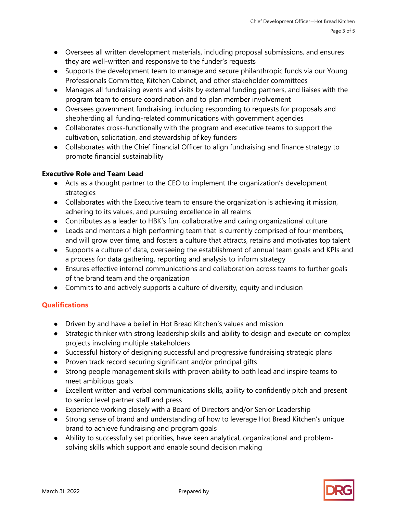- Oversees all written development materials, including proposal submissions, and ensures they are well-written and responsive to the funder's requests
- Supports the development team to manage and secure philanthropic funds via our Young Professionals Committee, Kitchen Cabinet, and other stakeholder committees
- Manages all fundraising events and visits by external funding partners, and liaises with the program team to ensure coordination and to plan member involvement
- Oversees government fundraising, including responding to requests for proposals and shepherding all funding-related communications with government agencies
- Collaborates cross-functionally with the program and executive teams to support the cultivation, solicitation, and stewardship of key funders
- Collaborates with the Chief Financial Officer to align fundraising and finance strategy to promote financial sustainability

## **Executive Role and Team Lead**

- Acts as a thought partner to the CEO to implement the organization's development strategies
- Collaborates with the Executive team to ensure the organization is achieving it mission, adhering to its values, and pursuing excellence in all realms
- Contributes as a leader to HBK's fun, collaborative and caring organizational culture
- Leads and mentors a high performing team that is currently comprised of four members, and will grow over time, and fosters a culture that attracts, retains and motivates top talent
- Supports a culture of data, overseeing the establishment of annual team goals and KPIs and a process for data gathering, reporting and analysis to inform strategy
- Ensures effective internal communications and collaboration across teams to further goals of the brand team and the organization
- Commits to and actively supports a culture of diversity, equity and inclusion

# **Qualifications**

- Driven by and have a belief in Hot Bread Kitchen's values and mission
- Strategic thinker with strong leadership skills and ability to design and execute on complex projects involving multiple stakeholders
- Successful history of designing successful and progressive fundraising strategic plans
- Proven track record securing significant and/or principal gifts
- Strong people management skills with proven ability to both lead and inspire teams to meet ambitious goals
- Excellent written and verbal communications skills, ability to confidently pitch and present to senior level partner staff and press
- Experience working closely with a Board of Directors and/or Senior Leadership
- Strong sense of brand and understanding of how to leverage Hot Bread Kitchen's unique brand to achieve fundraising and program goals
- Ability to successfully set priorities, have keen analytical, organizational and problemsolving skills which support and enable sound decision making

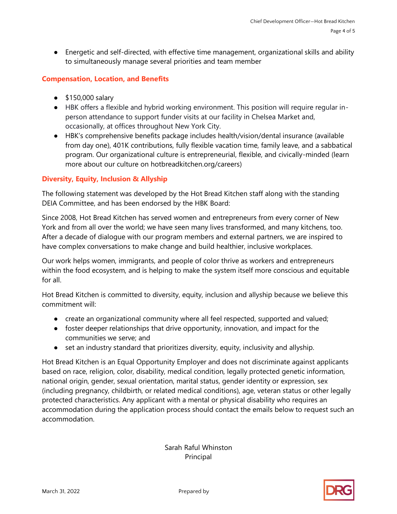● Energetic and self-directed, with effective time management, organizational skills and ability to simultaneously manage several priorities and team member

## **Compensation, Location, and Benefits**

- \$150,000 salary
- HBK offers a flexible and hybrid working environment. This position will require regular inperson attendance to support funder visits at our facility in Chelsea Market and, occasionally, at offices throughout New York City.
- HBK's comprehensive benefits package includes health/vision/dental insurance (available from day one), 401K contributions, fully flexible vacation time, family leave, and a sabbatical program. Our organizational culture is entrepreneurial, flexible, and civically-minded (learn more about our culture on hotbreadkitchen.org/careers)

## **Diversity, Equity, Inclusion & Allyship**

The following statement was developed by the Hot Bread Kitchen staff along with the standing DEIA Committee, and has been endorsed by the HBK Board:

Since 2008, Hot Bread Kitchen has served women and entrepreneurs from every corner of New York and from all over the world; we have seen many lives transformed, and many kitchens, too. After a decade of dialogue with our program members and external partners, we are inspired to have complex conversations to make change and build healthier, inclusive workplaces.

Our work helps women, immigrants, and people of color thrive as workers and entrepreneurs within the food ecosystem, and is helping to make the system itself more conscious and equitable for all.

Hot Bread Kitchen is committed to diversity, equity, inclusion and allyship because we believe this commitment will:

- create an organizational community where all feel respected, supported and valued;
- foster deeper relationships that drive opportunity, innovation, and impact for the communities we serve; and
- set an industry standard that prioritizes diversity, equity, inclusivity and allyship.

Hot Bread Kitchen is an Equal Opportunity Employer and does not discriminate against applicants based on race, religion, color, disability, medical condition, legally protected genetic information, national origin, gender, sexual orientation, marital status, gender identity or expression, sex (including pregnancy, childbirth, or related medical conditions), age, veteran status or other legally protected characteristics. Any applicant with a mental or physical disability who requires an accommodation during the application process should contact the emails below to request such an accommodation.